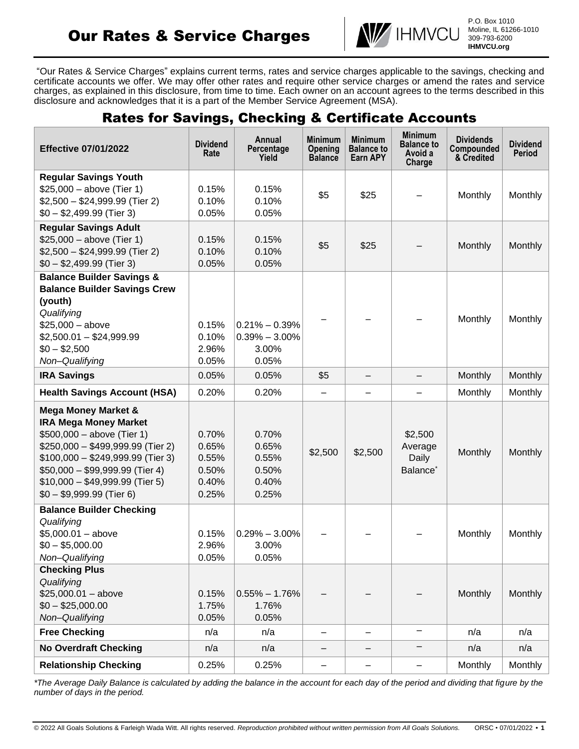# Our Rates & Service Charges



P.O. Box 1010 Moline, IL 61266-1010 309-793-6200 **IHMVCU.org**

"Our Rates & Service Charges" explains current terms, rates and service charges applicable to the savings, checking and certificate accounts we offer. We may offer other rates and require other service charges or amend the rates and service charges, as explained in this disclosure, from time to time. Each owner on an account agrees to the terms described in this disclosure and acknowledges that it is a part of the Member Service Agreement (MSA).

# Rates for Savings, Checking & Certificate Accounts

| <b>Effective 07/01/2022</b>                                                                                                                                                                                                                                                | <b>Dividend</b><br>Rate                            | Annual<br>Percentage<br>Yield                            | <b>Minimum</b><br>Opening<br><b>Balance</b> | <b>Minimum</b><br><b>Balance to</b><br>Earn APY | <b>Minimum</b><br><b>Balance to</b><br>Avoid a<br>Charge | <b>Dividends</b><br>Compounded<br>& Credited | <b>Dividend</b><br><b>Period</b> |
|----------------------------------------------------------------------------------------------------------------------------------------------------------------------------------------------------------------------------------------------------------------------------|----------------------------------------------------|----------------------------------------------------------|---------------------------------------------|-------------------------------------------------|----------------------------------------------------------|----------------------------------------------|----------------------------------|
| <b>Regular Savings Youth</b><br>$$25,000 - above (Tier 1)$<br>$$2,500 - $24,999.99$ (Tier 2)<br>$$0 - $2,499.99$ (Tier 3)                                                                                                                                                  | 0.15%<br>0.10%<br>0.05%                            | 0.15%<br>0.10%<br>0.05%                                  | \$5                                         | \$25                                            |                                                          | Monthly                                      | Monthly                          |
| <b>Regular Savings Adult</b><br>$$25,000 - above (Tier 1)$<br>$$2,500 - $24,999.99$ (Tier 2)<br>$$0 - $2,499.99$ (Tier 3)                                                                                                                                                  | 0.15%<br>0.10%<br>0.05%                            | 0.15%<br>0.10%<br>0.05%                                  | \$5                                         | \$25                                            |                                                          | Monthly                                      | <b>Monthly</b>                   |
| <b>Balance Builder Savings &amp;</b><br><b>Balance Builder Savings Crew</b><br>(youth)<br>Qualifying<br>$$25,000 - above$<br>$$2,500.01 - $24,999.99$<br>$$0 - $2,500$<br>Non-Qualifying                                                                                   | 0.15%<br>0.10%<br>2.96%<br>0.05%                   | $0.21\% - 0.39\%$<br>$0.39\% - 3.00\%$<br>3.00%<br>0.05% |                                             |                                                 |                                                          | Monthly                                      | Monthly                          |
| <b>IRA Savings</b>                                                                                                                                                                                                                                                         | 0.05%                                              | 0.05%                                                    | \$5                                         | $\qquad \qquad -$                               | -                                                        | Monthly                                      | Monthly                          |
| <b>Health Savings Account (HSA)</b>                                                                                                                                                                                                                                        | 0.20%                                              | 0.20%                                                    | -                                           | $\overline{\phantom{0}}$                        | $\overline{\phantom{0}}$                                 | Monthly                                      | Monthly                          |
| <b>Mega Money Market &amp;</b><br><b>IRA Mega Money Market</b><br>$$500,000 - above (Tier 1)$<br>\$250,000 - \$499,999.99 (Tier 2)<br>\$100,000 - \$249,999.99 (Tier 3)<br>\$50,000 - \$99,999.99 (Tier 4)<br>$$10,000 - $49,999.99$ (Tier 5)<br>$$0 - $9,999.99$ (Tier 6) | 0.70%<br>0.65%<br>0.55%<br>0.50%<br>0.40%<br>0.25% | 0.70%<br>0.65%<br>0.55%<br>0.50%<br>0.40%<br>0.25%       | \$2,500                                     | \$2,500                                         | \$2,500<br>Average<br>Daily<br>Balance <sup>*</sup>      | Monthly                                      | Monthly                          |
| <b>Balance Builder Checking</b><br>Qualifying<br>$$5,000.01 - above$<br>$$0 - $5,000.00$<br>Non-Qualifying                                                                                                                                                                 | 0.15%<br>2.96%<br>0.05%                            | $0.29\% - 3.00\%$<br>3.00%<br>0.05%                      |                                             |                                                 |                                                          | Monthly                                      | Monthly                          |
| <b>Checking Plus</b><br>Qualifying<br>$$25,000.01 - above$<br>$$0 - $25,000.00$<br>Non-Qualifying                                                                                                                                                                          | 0.15%<br>1.75%<br>0.05%                            | $0.55\% - 1.76\%$<br>1.76%<br>0.05%                      |                                             |                                                 |                                                          | Monthly                                      | Monthly                          |
| <b>Free Checking</b>                                                                                                                                                                                                                                                       | n/a                                                | n/a                                                      | -                                           |                                                 | $\overline{\phantom{0}}$                                 | n/a                                          | n/a                              |
| <b>No Overdraft Checking</b>                                                                                                                                                                                                                                               | n/a                                                | n/a                                                      | $\qquad \qquad -$                           | -                                               |                                                          | n/a                                          | n/a                              |
| <b>Relationship Checking</b>                                                                                                                                                                                                                                               | 0.25%                                              | 0.25%                                                    | -                                           | -                                               | $\qquad \qquad \qquad \qquad$                            | Monthly                                      | Monthly                          |

*\*The Average Daily Balance is calculated by adding the balance in the account for each day of the period and dividing that figure by the number of days in the period.*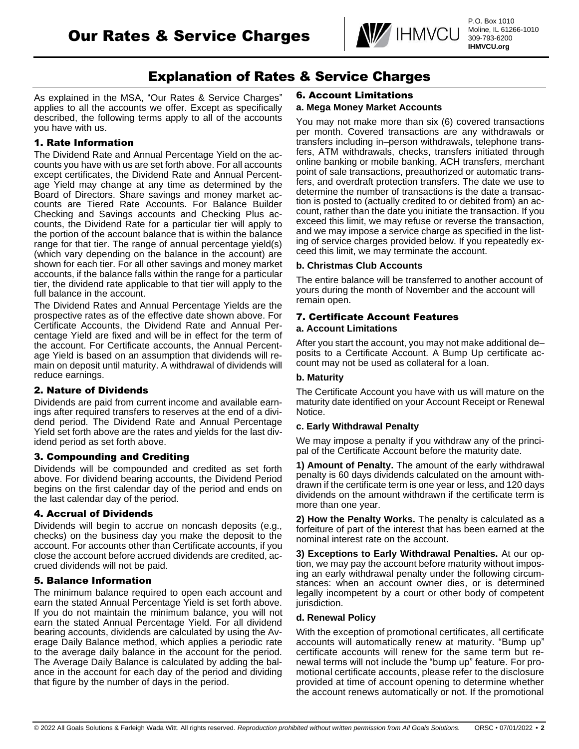

# Explanation of Rates & Service Charges

As explained in the MSA, "Our Rates & Service Charges" applies to all the accounts we offer. Except as specifically described, the following terms apply to all of the accounts you have with us.

# 1. Rate Information

The Dividend Rate and Annual Percentage Yield on the accounts you have with us are set forth above. For all accounts except certificates, the Dividend Rate and Annual Percentage Yield may change at any time as determined by the Board of Directors. Share savings and money market accounts are Tiered Rate Accounts. For Balance Builder Checking and Savings accounts and Checking Plus accounts, the Dividend Rate for a particular tier will apply to the portion of the account balance that is within the balance range for that tier. The range of annual percentage yield(s) (which vary depending on the balance in the account) are shown for each tier. For all other savings and money market accounts, if the balance falls within the range for a particular tier, the dividend rate applicable to that tier will apply to the full balance in the account.

The Dividend Rates and Annual Percentage Yields are the prospective rates as of the effective date shown above. For Certificate Accounts, the Dividend Rate and Annual Percentage Yield are fixed and will be in effect for the term of the account. For Certificate accounts, the Annual Percentage Yield is based on an assumption that dividends will remain on deposit until maturity. A withdrawal of dividends will reduce earnings.

# 2. Nature of Dividends

Dividends are paid from current income and available earnings after required transfers to reserves at the end of a dividend period. The Dividend Rate and Annual Percentage Yield set forth above are the rates and yields for the last dividend period as set forth above.

# 3. Compounding and Crediting

Dividends will be compounded and credited as set forth above. For dividend bearing accounts, the Dividend Period begins on the first calendar day of the period and ends on the last calendar day of the period.

# 4. Accrual of Dividends

Dividends will begin to accrue on noncash deposits (e.g., checks) on the business day you make the deposit to the account. For accounts other than Certificate accounts, if you close the account before accrued dividends are credited, accrued dividends will not be paid.

# 5. Balance Information

The minimum balance required to open each account and earn the stated Annual Percentage Yield is set forth above. If you do not maintain the minimum balance, you will not earn the stated Annual Percentage Yield. For all dividend bearing accounts, dividends are calculated by using the Average Daily Balance method, which applies a periodic rate to the average daily balance in the account for the period. The Average Daily Balance is calculated by adding the balance in the account for each day of the period and dividing that figure by the number of days in the period.

#### 6. Account Limitations **a. Mega Money Market Accounts**

You may not make more than six (6) covered transactions per month. Covered transactions are any withdrawals or transfers including in–person withdrawals, telephone transfers, ATM withdrawals, checks, transfers initiated through online banking or mobile banking, ACH transfers, merchant point of sale transactions, preauthorized or automatic transfers, and overdraft protection transfers. The date we use to determine the number of transactions is the date a transaction is posted to (actually credited to or debited from) an account, rather than the date you initiate the transaction. If you exceed this limit, we may refuse or reverse the transaction, and we may impose a service charge as specified in the listing of service charges provided below. If you repeatedly exceed this limit, we may terminate the account.

#### **b. Christmas Club Accounts**

The entire balance will be transferred to another account of yours during the month of November and the account will remain open.

# 7. Certificate Account Features

#### **a. Account Limitations**

After you start the account, you may not make additional de– posits to a Certificate Account. A Bump Up certificate account may not be used as collateral for a loan.

### **b. Maturity**

The Certificate Account you have with us will mature on the maturity date identified on your Account Receipt or Renewal Notice.

#### **c. Early Withdrawal Penalty**

We may impose a penalty if you withdraw any of the principal of the Certificate Account before the maturity date.

**1) Amount of Penalty.** The amount of the early withdrawal penalty is 60 days dividends calculated on the amount withdrawn if the certificate term is one year or less, and 120 days dividends on the amount withdrawn if the certificate term is more than one year.

**2) How the Penalty Works.** The penalty is calculated as a forfeiture of part of the interest that has been earned at the nominal interest rate on the account.

**3) Exceptions to Early Withdrawal Penalties.** At our option, we may pay the account before maturity without imposing an early withdrawal penalty under the following circumstances: when an account owner dies, or is determined legally incompetent by a court or other body of competent jurisdiction.

#### **d. Renewal Policy**

With the exception of promotional certificates, all certificate accounts will automatically renew at maturity. "Bump up" certificate accounts will renew for the same term but renewal terms will not include the "bump up" feature. For promotional certificate accounts, please refer to the disclosure provided at time of account opening to determine whether the account renews automatically or not. If the promotional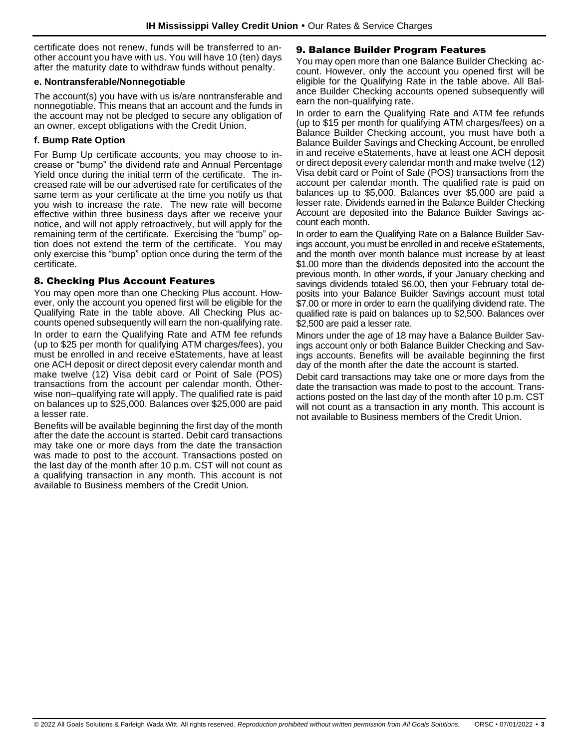certificate does not renew, funds will be transferred to another account you have with us. You will have 10 (ten) days after the maturity date to withdraw funds without penalty.

#### **e. Nontransferable/Nonnegotiable**

The account(s) you have with us is/are nontransferable and nonnegotiable. This means that an account and the funds in the account may not be pledged to secure any obligation of an owner, except obligations with the Credit Union.

#### **f. Bump Rate Option**

For Bump Up certificate accounts, you may choose to increase or "bump" the dividend rate and Annual Percentage Yield once during the initial term of the certificate. The increased rate will be our advertised rate for certificates of the same term as your certificate at the time you notify us that you wish to increase the rate. The new rate will become effective within three business days after we receive your notice, and will not apply retroactively, but will apply for the remaining term of the certificate. Exercising the "bump" option does not extend the term of the certificate. You may only exercise this "bump" option once during the term of the certificate.

#### 8. Checking Plus Account Features

You may open more than one Checking Plus account. However, only the account you opened first will be eligible for the Qualifying Rate in the table above. All Checking Plus accounts opened subsequently will earn the non-qualifying rate.

In order to earn the Qualifying Rate and ATM fee refunds (up to \$25 per month for qualifying ATM charges/fees), you must be enrolled in and receive eStatements, have at least one ACH deposit or direct deposit every calendar month and make twelve (12) Visa debit card or Point of Sale (POS) transactions from the account per calendar month. Otherwise non–qualifying rate will apply. The qualified rate is paid on balances up to \$25,000. Balances over \$25,000 are paid a lesser rate.

Benefits will be available beginning the first day of the month after the date the account is started. Debit card transactions may take one or more days from the date the transaction was made to post to the account. Transactions posted on the last day of the month after 10 p.m. CST will not count as a qualifying transaction in any month. This account is not available to Business members of the Credit Union.

#### 9. Balance Builder Program Features

You may open more than one Balance Builder Checking account. However, only the account you opened first will be eligible for the Qualifying Rate in the table above. All Balance Builder Checking accounts opened subsequently will earn the non-qualifying rate.

In order to earn the Qualifying Rate and ATM fee refunds (up to \$15 per month for qualifying ATM charges/fees) on a Balance Builder Checking account, you must have both a Balance Builder Savings and Checking Account, be enrolled in and receive eStatements, have at least one ACH deposit or direct deposit every calendar month and make twelve (12) Visa debit card or Point of Sale (POS) transactions from the account per calendar month. The qualified rate is paid on balances up to \$5,000. Balances over \$5,000 are paid a lesser rate. Dividends earned in the Balance Builder Checking Account are deposited into the Balance Builder Savings account each month.

In order to earn the Qualifying Rate on a Balance Builder Savings account, you must be enrolled in and receive eStatements, and the month over month balance must increase by at least \$1.00 more than the dividends deposited into the account the previous month. In other words, if your January checking and savings dividends totaled \$6.00, then your February total deposits into your Balance Builder Savings account must total \$7.00 or more in order to earn the qualifying dividend rate. The qualified rate is paid on balances up to \$2,500. Balances over \$2,500 are paid a lesser rate.

Minors under the age of 18 may have a Balance Builder Savings account only or both Balance Builder Checking and Savings accounts. Benefits will be available beginning the first day of the month after the date the account is started.

Debit card transactions may take one or more days from the date the transaction was made to post to the account. Transactions posted on the last day of the month after 10 p.m. CST will not count as a transaction in any month. This account is not available to Business members of the Credit Union.